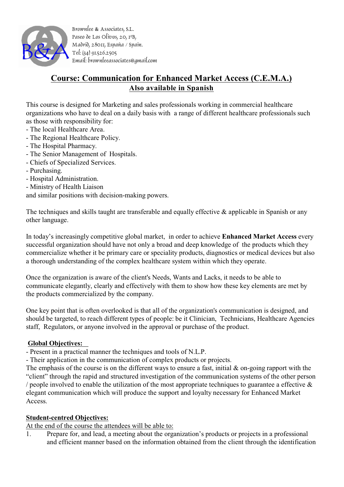

Brownlee & Associates, S.L. Paseo de Los Olivos, 20, 1ºB, Madrid, 28011, España / Spain. Tel: (34) 91.526.2505 Email: brownleeassociates@gmail.com

## **Course: Communication for Enhanced Market Access (C.E.M.A.) Also available in Spanish**

This course is designed for Marketing and sales professionals working in commercial healthcare organizations who have to deal on a daily basis with a range of different healthcare professionals such as those with responsibility for:

- The local Healthcare Area.
- The Regional Healthcare Policy.
- The Hospital Pharmacy.
- The Senior Management of Hospitals.
- Chiefs of Specialized Services.
- Purchasing.
- Hospital Administration.
- Ministry of Health Liaison

and similar positions with decision-making powers.

The techniques and skills taught are transferable and equally effective & applicable in Spanish or any other language.

In today's increasingly competitive global market, in order to achieve **Enhanced Market Access** every successful organization should have not only a broad and deep knowledge of the products which they commercialize whether it be primary care or speciality products, diagnostics or medical devices but also a thorough understanding of the complex healthcare system within which they operate.

Once the organization is aware of the client's Needs, Wants and Lacks, it needs to be able to communicate elegantly, clearly and effectively with them to show how these key elements are met by the products commercialized by the company.

One key point that is often overlooked is that all of the organization's communication is designed, and should be targeted, to reach different types of people: be it Clinician, Technicians, Healthcare Agencies staff, Regulators, or anyone involved in the approval or purchase of the product.

## **Global Objectives:**

- Present in a practical manner the techniques and tools of N.L.P.

- Their application in the communication of complex products or projects.

The emphasis of the course is on the different ways to ensure a fast, initial  $\&$  on-going rapport with the "client" through the rapid and structured investigation of the communication systems of the other person / people involved to enable the utilization of the most appropriate techniques to guarantee a effective  $\&$ elegant communication which will produce the support and loyalty necessary for Enhanced Market Access.

## **Student-centred Objectives:**

At the end of the course the attendees will be able to:

1. Prepare for, and lead, a meeting about the organization's products or projects in a professional and efficient manner based on the information obtained from the client through the identification